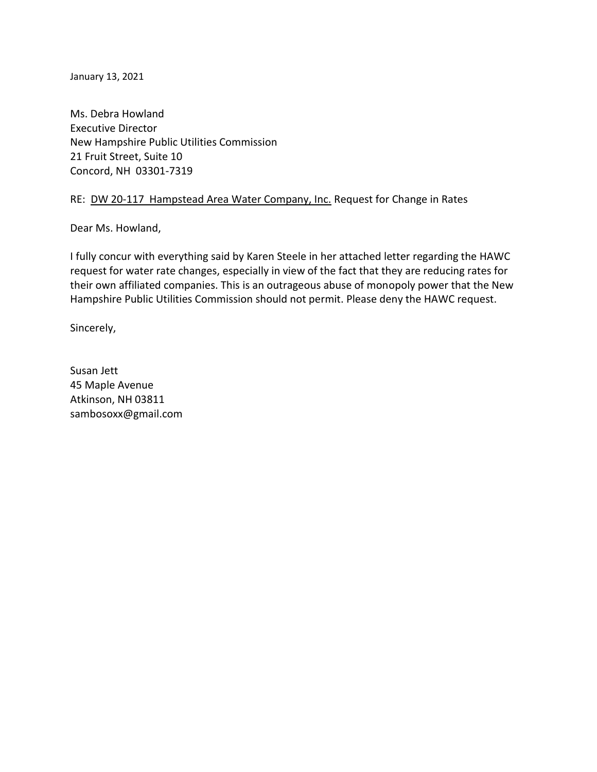January 13, 2021

Ms. Debra Howland Executive Director New Hampshire Public Utilities Commission 21 Fruit Street, Suite 10 Concord, NH 03301-7319

## RE: DW 20-117 Hampstead Area Water Company, Inc. Request for Change in Rates

Dear Ms. Howland,

I fully concur with everything said by Karen Steele in her attached letter regarding the HAWC request for water rate changes, especially in view of the fact that they are reducing rates for their own affiliated companies. This is an outrageous abuse of monopoly power that the New Hampshire Public Utilities Commission should not permit. Please deny the HAWC request.

Sincerely,

Susan Jett 45 Maple Avenue Atkinson, NH 03811 sambosoxx@gmail.com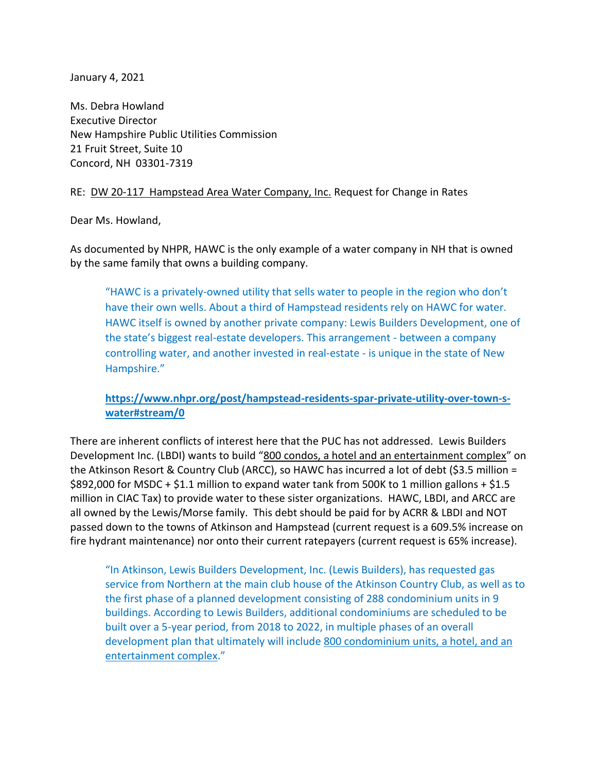January 4, 2021

Ms. Debra Howland Executive Director New Hampshire Public Utilities Commission 21 Fruit Street, Suite 10 Concord, NH 03301-7319

## RE: DW 20-117 Hampstead Area Water Company, Inc. Request for Change in Rates

Dear Ms. Howland,

As documented by NHPR, HAWC is the only example of a water company in NH that is owned by the same family that owns a building company.

"HAWC is a privately-owned utility that sells water to people in the region who don't have their own wells. About a third of Hampstead residents rely on HAWC for water. HAWC itself is owned by another private company: Lewis Builders Development, one of the state's biggest real-estate developers. This arrangement - between a company controlling water, and another invested in real-estate - is unique in the state of New Hampshire."

# **[https://www.nhpr.org/post/hampstead-residents-spar-private-utility-over-town-s](about:blank)[water#stream/0](about:blank)**

There are inherent conflicts of interest here that the PUC has not addressed. Lewis Builders Development Inc. (LBDI) wants to build "800 condos, a hotel and an entertainment complex" on the Atkinson Resort & Country Club (ARCC), so HAWC has incurred a lot of debt (\$3.5 million = \$892,000 for MSDC + \$1.1 million to expand water tank from 500K to 1 million gallons + \$1.5 million in CIAC Tax) to provide water to these sister organizations. HAWC, LBDI, and ARCC are all owned by the Lewis/Morse family. This debt should be paid for by ACRR & LBDI and NOT passed down to the towns of Atkinson and Hampstead (current request is a 609.5% increase on fire hydrant maintenance) nor onto their current ratepayers (current request is 65% increase).

"In Atkinson, Lewis Builders Development, Inc. (Lewis Builders), has requested gas service from Northern at the main club house of the Atkinson Country Club, as well as to the first phase of a planned development consisting of 288 condominium units in 9 buildings. According to Lewis Builders, additional condominiums are scheduled to be built over a 5-year period, from 2018 to 2022, in multiple phases of an overall development plan that ultimately will include 800 condominium units, a hotel, and an entertainment complex."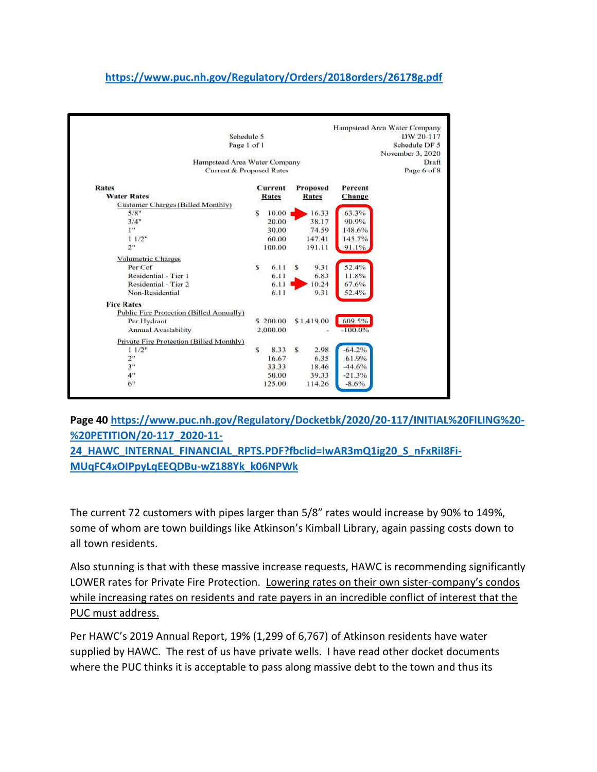# **[https://www.puc.nh.gov/Regulatory/Orders/2018orders/26178g.pdf](about:blank)**

|                                                 |                         |                  |    |                 |            | Hampstead Area Water Company |
|-------------------------------------------------|-------------------------|------------------|----|-----------------|------------|------------------------------|
| Schedule 5                                      |                         | DW 20-117        |    |                 |            |                              |
| Page 1 of 1                                     |                         | Schedule DF 5    |    |                 |            |                              |
|                                                 |                         | November 3, 2020 |    |                 |            |                              |
| Hampstead Area Water Company                    |                         |                  |    |                 |            | Draft                        |
| Current & Proposed Rates                        |                         |                  |    |                 |            | Page 6 of 8                  |
| <b>Rates</b>                                    |                         | <b>Current</b>   |    | <b>Proposed</b> | Percent    |                              |
| <b>Water Rates</b>                              |                         | <b>Rates</b>     |    | <b>Rates</b>    | Change     |                              |
| <b>Customer Charges (Billed Monthly)</b>        |                         |                  |    |                 |            |                              |
| 5/8"                                            | s                       | 10.00            |    | 16.33           | 63.3%      |                              |
| 3/4"                                            |                         | 20.00            |    | 38.17           | 90.9%      |                              |
| 1"                                              |                         | 30.00            |    | 74.59           | 148.6%     |                              |
| 11/2"                                           |                         | 60.00            |    | 147.41          | 145.7%     |                              |
| 2 <sup>n</sup>                                  |                         | 100.00           |    | 191.11          | 91.1%      |                              |
| <b>Volumetric Charges</b>                       |                         |                  |    |                 |            |                              |
| Per Ccf                                         | $\overline{\mathbf{s}}$ | 6.11             | s  | 9.31            | 52.4%      |                              |
| Residential - Tier 1                            |                         | 6.11             |    | 6.83            | 11.8%      |                              |
| Residential - Tier 2                            |                         | 6.11             |    | 10.24           | 67.6%      |                              |
| Non-Residential                                 |                         | 6.11             |    | 9.31            | 52.4%      |                              |
| <b>Fire Rates</b>                               |                         |                  |    |                 |            |                              |
| <b>Public Fire Protection (Billed Annually)</b> |                         |                  |    |                 |            |                              |
| Per Hydrant                                     |                         | \$200.00         |    | \$1,419.00      | 609.5%     |                              |
| <b>Annual Availability</b>                      |                         | 2,000.00         |    |                 | $-100.0\%$ |                              |
| Private Fire Protection (Billed Monthly)        |                         |                  |    |                 |            |                              |
| 11/2"                                           | $\mathbf{s}$            | 8.33             | \$ | 2.98            | $-64.2%$   |                              |
| 2"                                              |                         | 16.67            |    | 6.35            | $-61.9%$   |                              |
| 3"                                              |                         | 33.33            |    | 18.46           | $-44.6%$   |                              |
| 4"                                              |                         | 50.00            |    | 39.33           | $-21.3%$   |                              |
| 6"                                              |                         | 125.00           |    | 114.26          | $-8.6%$    |                              |

**Page 40 [https://www.puc.nh.gov/Regulatory/Docketbk/2020/20-117/INITIAL%20FILING%20-](about:blank) [%20PETITION/20-117\\_2020-11-](about:blank)**

**[24\\_HAWC\\_INTERNAL\\_FINANCIAL\\_RPTS.PDF?fbclid=IwAR3mQ1ig20\\_S\\_nFxRiI8Fi-](about:blank)[MUqFC4xOIPpyLqEEQDBu-wZ188Yk\\_k06NPWk](about:blank)**

The current 72 customers with pipes larger than 5/8" rates would increase by 90% to 149%, some of whom are town buildings like Atkinson's Kimball Library, again passing costs down to all town residents.

Also stunning is that with these massive increase requests, HAWC is recommending significantly LOWER rates for Private Fire Protection. Lowering rates on their own sister-company's condos while increasing rates on residents and rate payers in an incredible conflict of interest that the PUC must address.

Per HAWC's 2019 Annual Report, 19% (1,299 of 6,767) of Atkinson residents have water supplied by HAWC. The rest of us have private wells. I have read other docket documents where the PUC thinks it is acceptable to pass along massive debt to the town and thus its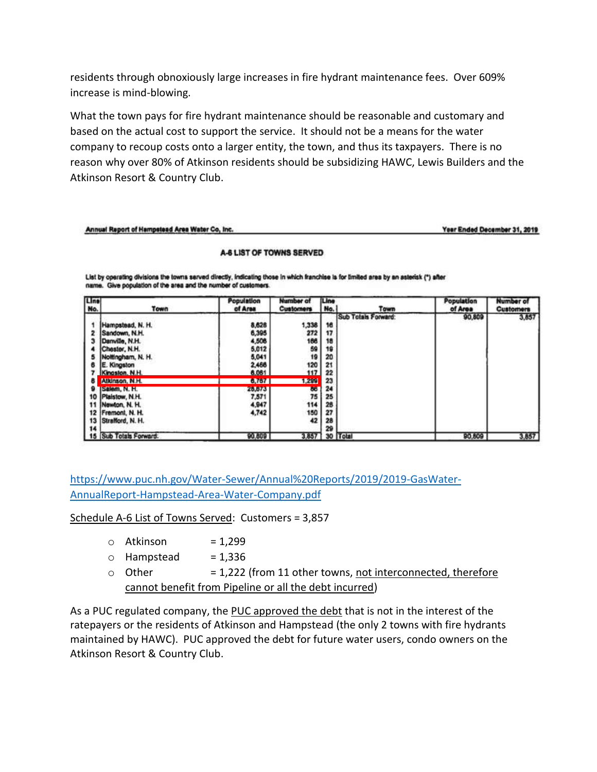residents through obnoxiously large increases in fire hydrant maintenance fees. Over 609% increase is mind-blowing.

What the town pays for fire hydrant maintenance should be reasonable and customary and based on the actual cost to support the service. It should not be a means for the water company to recoup costs onto a larger entity, the town, and thus its taxpayers. There is no reason why over 80% of Atkinson residents should be subsidizing HAWC, Lewis Builders and the Atkinson Resort & Country Club.

#### Annual Report of Hampstead Area Water Co, Inc.

Year Ended December 31, 2019

#### A-6 LIST OF TOWNS SERVED

List by operating divisions the towns served directly, indicating those in which franchise is for limited area by an asterisk (\*) after name. Give population of the area and the number of customers.

| Line<br>No.               | Town                                                                                         | Population<br>of Area                     | Number of<br><b>Customers</b>   | Line<br>No.                | Town                | Population<br>of Area | Number of<br><b>Customers</b> |
|---------------------------|----------------------------------------------------------------------------------------------|-------------------------------------------|---------------------------------|----------------------------|---------------------|-----------------------|-------------------------------|
|                           | Hampstead, N. H.<br>Sandown, N.H.<br>Danville, N.H.<br>Chester, N.H.<br>Noltingham, N. H.    | 8,626<br>6,395<br>4,508<br>5,012<br>5,041 | 1,338<br>272<br>186<br>59<br>19 | 16<br>17<br>18<br>19<br>20 | Sub Totals Forward: | 90,809                | 3,857                         |
| 8                         | E. Kingston<br>Kingston, N.H.<br>Atkinson, N.H.                                              | 2,466<br>6,061<br>6,767                   | 120<br>117<br>1,299             | 21<br>22<br>23             |                     |                       |                               |
| 9<br>10<br>11<br>12<br>13 | <b>ISalem, N. H.</b><br>Plaistow, N.H.<br>Newton, N. H.<br>Fremont, N. H.<br>Strafford, N.H. | 26,673<br>7,571<br>4,947<br>4,742         | 86<br>75<br>114<br>150<br>42    | 24<br>25<br>26<br>27<br>28 |                     |                       |                               |
| 14                        | 15 Sub Totals Forward:                                                                       | 90,809                                    | 3,857                           | 29                         | 30 Total            | 90,609                | 3,857                         |

[https://www.puc.nh.gov/Water-Sewer/Annual%20Reports/2019/2019-GasWater-](about:blank)[AnnualReport-Hampstead-Area-Water-Company.pdf](about:blank)

Schedule A-6 List of Towns Served: Customers = 3,857

| o Atkinson  | $= 1,299$                                                   |
|-------------|-------------------------------------------------------------|
| ○ Hampstead | $= 1,336$                                                   |
| ⊙ Other     | = 1,222 (from 11 other towns, not interconnected, therefore |
|             | cannot benefit from Pipeline or all the debt incurred)      |

As a PUC regulated company, the PUC approved the debt that is not in the interest of the ratepayers or the residents of Atkinson and Hampstead (the only 2 towns with fire hydrants maintained by HAWC). PUC approved the debt for future water users, condo owners on the Atkinson Resort & Country Club.